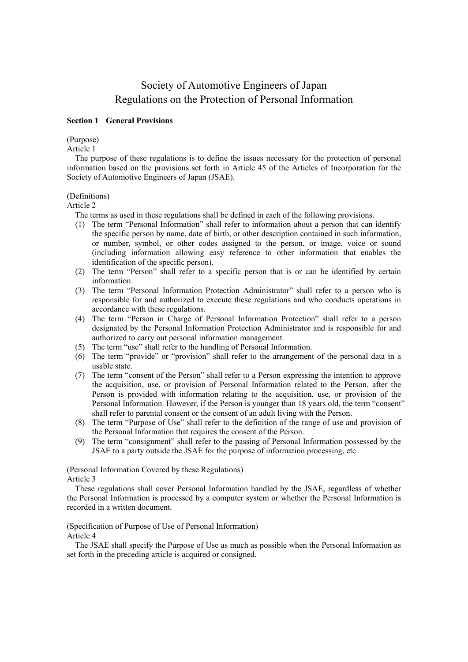# Society of Automotive Engineers of Japan Regulations on the Protection of Personal Information

#### **Section 1 General Provisions**

(Purpose)

Article 1

The purpose of these regulations is to define the issues necessary for the protection of personal information based on the provisions set forth in Article 45 of the Articles of Incorporation for the Society of Automotive Engineers of Japan (JSAE).

#### (Definitions)

Article 2

The terms as used in these regulations shall be defined in each of the following provisions.

- (1) The term "Personal Information" shall refer to information about a person that can identify the specific person by name, date of birth, or other description contained in such information, or number, symbol, or other codes assigned to the person, or image, voice or sound (including information allowing easy reference to other information that enables the identification of the specific person).
- (2) The term "Person" shall refer to a specific person that is or can be identified by certain information.
- (3) The term "Personal Information Protection Administrator" shall refer to a person who is responsible for and authorized to execute these regulations and who conducts operations in accordance with these regulations.
- (4) The term "Person in Charge of Personal Information Protection" shall refer to a person designated by the Personal Information Protection Administrator and is responsible for and authorized to carry out personal information management.
- (5) The term "use" shall refer to the handling of Personal Information.
- (6) The term "provide" or "provision" shall refer to the arrangement of the personal data in a usable state.
- (7) The term "consent of the Person" shall refer to a Person expressing the intention to approve the acquisition, use, or provision of Personal Information related to the Person, after the Person is provided with information relating to the acquisition, use, or provision of the Personal Information. However, if the Person is younger than 18 years old, the term "consent" shall refer to parental consent or the consent of an adult living with the Person.
- (8) The term "Purpose of Use" shall refer to the definition of the range of use and provision of the Personal Information that requires the consent of the Person.
- (9) The term "consignment" shall refer to the passing of Personal Information possessed by the JSAE to a party outside the JSAE for the purpose of information processing, etc.

(Personal Information Covered by these Regulations) Article 3

These regulations shall cover Personal Information handled by the JSAE, regardless of whether the Personal Information is processed by a computer system or whether the Personal Information is recorded in a written document.

(Specification of Purpose of Use of Personal Information)

Article 4

The JSAE shall specify the Purpose of Use as much as possible when the Personal Information as set forth in the preceding article is acquired or consigned.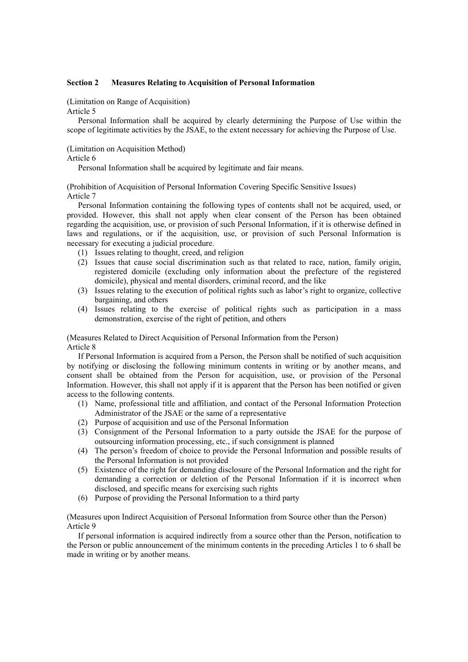## **Section 2 Measures Relating to Acquisition of Personal Information**

(Limitation on Range of Acquisition)

Article 5

Personal Information shall be acquired by clearly determining the Purpose of Use within the scope of legitimate activities by the JSAE, to the extent necessary for achieving the Purpose of Use.

## (Limitation on Acquisition Method)

#### Article 6

Personal Information shall be acquired by legitimate and fair means.

(Prohibition of Acquisition of Personal Information Covering Specific Sensitive Issues) Article 7

Personal Information containing the following types of contents shall not be acquired, used, or provided. However, this shall not apply when clear consent of the Person has been obtained regarding the acquisition, use, or provision of such Personal Information, if it is otherwise defined in laws and regulations, or if the acquisition, use, or provision of such Personal Information is necessary for executing a judicial procedure.

- (1) Issues relating to thought, creed, and religion
- (2) Issues that cause social discrimination such as that related to race, nation, family origin, registered domicile (excluding only information about the prefecture of the registered domicile), physical and mental disorders, criminal record, and the like
- (3) Issues relating to the execution of political rights such as labor's right to organize, collective bargaining, and others
- (4) Issues relating to the exercise of political rights such as participation in a mass demonstration, exercise of the right of petition, and others

## (Measures Related to Direct Acquisition of Personal Information from the Person) Article 8

If Personal Information is acquired from a Person, the Person shall be notified of such acquisition by notifying or disclosing the following minimum contents in writing or by another means, and consent shall be obtained from the Person for acquisition, use, or provision of the Personal Information. However, this shall not apply if it is apparent that the Person has been notified or given access to the following contents.

- (1) Name, professional title and affiliation, and contact of the Personal Information Protection Administrator of the JSAE or the same of a representative
- (2) Purpose of acquisition and use of the Personal Information
- (3) Consignment of the Personal Information to a party outside the JSAE for the purpose of outsourcing information processing, etc., if such consignment is planned
- (4) The person's freedom of choice to provide the Personal Information and possible results of the Personal Information is not provided
- (5) Existence of the right for demanding disclosure of the Personal Information and the right for demanding a correction or deletion of the Personal Information if it is incorrect when disclosed, and specific means for exercising such rights
- (6) Purpose of providing the Personal Information to a third party

(Measures upon Indirect Acquisition of Personal Information from Source other than the Person) Article 9

If personal information is acquired indirectly from a source other than the Person, notification to the Person or public announcement of the minimum contents in the preceding Articles 1 to 6 shall be made in writing or by another means.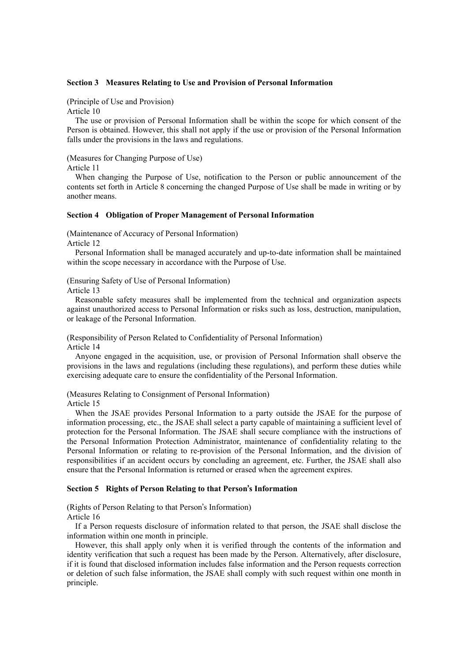### **Section 3 Measures Relating to Use and Provision of Personal Information**

(Principle of Use and Provision)

Article 10

The use or provision of Personal Information shall be within the scope for which consent of the Person is obtained. However, this shall not apply if the use or provision of the Personal Information falls under the provisions in the laws and regulations.

(Measures for Changing Purpose of Use)

Article 11

When changing the Purpose of Use, notification to the Person or public announcement of the contents set forth in Article 8 concerning the changed Purpose of Use shall be made in writing or by another means.

#### **Section 4 Obligation of Proper Management of Personal Information**

(Maintenance of Accuracy of Personal Information)

Article 12

Personal Information shall be managed accurately and up-to-date information shall be maintained within the scope necessary in accordance with the Purpose of Use.

(Ensuring Safety of Use of Personal Information)

Article 13

Reasonable safety measures shall be implemented from the technical and organization aspects against unauthorized access to Personal Information or risks such as loss, destruction, manipulation, or leakage of the Personal Information.

(Responsibility of Person Related to Confidentiality of Personal Information)

Article 14

Anyone engaged in the acquisition, use, or provision of Personal Information shall observe the provisions in the laws and regulations (including these regulations), and perform these duties while exercising adequate care to ensure the confidentiality of the Personal Information.

(Measures Relating to Consignment of Personal Information)

Article 15

When the JSAE provides Personal Information to a party outside the JSAE for the purpose of information processing, etc., the JSAE shall select a party capable of maintaining a sufficient level of protection for the Personal Information. The JSAE shall secure compliance with the instructions of the Personal Information Protection Administrator, maintenance of confidentiality relating to the Personal Information or relating to re-provision of the Personal Information, and the division of responsibilities if an accident occurs by concluding an agreement, etc. Further, the JSAE shall also ensure that the Personal Information is returned or erased when the agreement expires.

## **Section 5 Rights of Person Relating to that Person**'**s Information**

(Rights of Person Relating to that Person's Information) Article 16

If a Person requests disclosure of information related to that person, the JSAE shall disclose the information within one month in principle.

However, this shall apply only when it is verified through the contents of the information and identity verification that such a request has been made by the Person. Alternatively, after disclosure, if it is found that disclosed information includes false information and the Person requests correction or deletion of such false information, the JSAE shall comply with such request within one month in principle.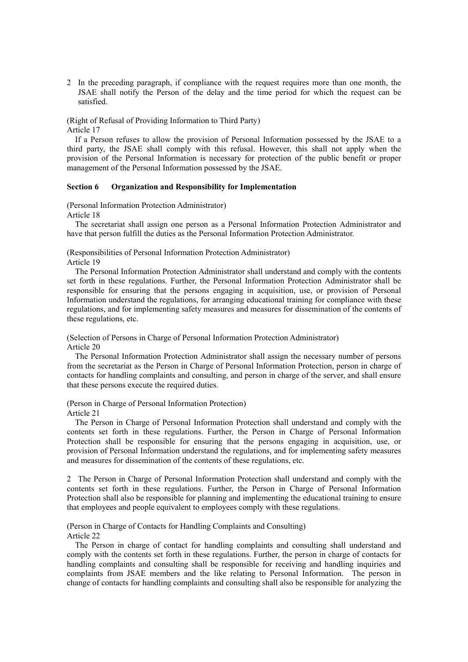2 In the preceding paragraph, if compliance with the request requires more than one month, the JSAE shall notify the Person of the delay and the time period for which the request can be satisfied.

# (Right of Refusal of Providing Information to Third Party)

Article 17

If a Person refuses to allow the provision of Personal Information possessed by the JSAE to a third party, the JSAE shall comply with this refusal. However, this shall not apply when the provision of the Personal Information is necessary for protection of the public benefit or proper management of the Personal Information possessed by the JSAE.

## **Section 6 Organization and Responsibility for Implementation**

(Personal Information Protection Administrator)

Article 18

The secretariat shall assign one person as a Personal Information Protection Administrator and have that person fulfill the duties as the Personal Information Protection Administrator.

(Responsibilities of Personal Information Protection Administrator) Article 19

The Personal Information Protection Administrator shall understand and comply with the contents set forth in these regulations. Further, the Personal Information Protection Administrator shall be responsible for ensuring that the persons engaging in acquisition, use, or provision of Personal Information understand the regulations, for arranging educational training for compliance with these regulations, and for implementing safety measures and measures for dissemination of the contents of these regulations, etc.

(Selection of Persons in Charge of Personal Information Protection Administrator) Article 20

The Personal Information Protection Administrator shall assign the necessary number of persons from the secretariat as the Person in Charge of Personal Information Protection, person in charge of contacts for handling complaints and consulting, and person in charge of the server, and shall ensure that these persons execute the required duties.

(Person in Charge of Personal Information Protection)

Article 21

The Person in Charge of Personal Information Protection shall understand and comply with the contents set forth in these regulations. Further, the Person in Charge of Personal Information Protection shall be responsible for ensuring that the persons engaging in acquisition, use, or provision of Personal Information understand the regulations, and for implementing safety measures and measures for dissemination of the contents of these regulations, etc.

2 The Person in Charge of Personal Information Protection shall understand and comply with the contents set forth in these regulations. Further, the Person in Charge of Personal Information Protection shall also be responsible for planning and implementing the educational training to ensure that employees and people equivalent to employees comply with these regulations.

(Person in Charge of Contacts for Handling Complaints and Consulting) Article 22

The Person in charge of contact for handling complaints and consulting shall understand and comply with the contents set forth in these regulations. Further, the person in charge of contacts for handling complaints and consulting shall be responsible for receiving and handling inquiries and complaints from JSAE members and the like relating to Personal Information. The person in change of contacts for handling complaints and consulting shall also be responsible for analyzing the